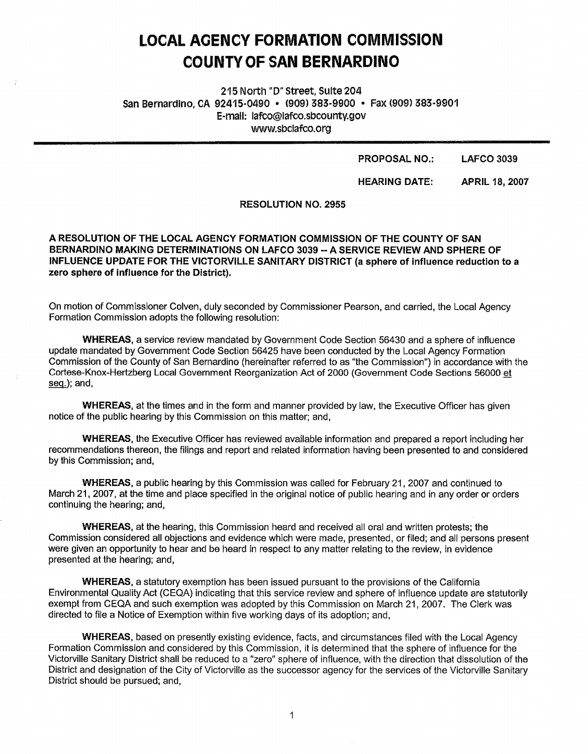# **LOCAL AOENCY FORMATION COMMISSION COUNTY OF SAN BERNARDINO**

215 North "D" street, Suite 204 San Bernardino, CA 92415-0490 · (909) 383-9900 · Fax (909) 383-9901 E-mall: lafco@lafco.sbcounty.gov www.sbclafco.org

#### **PROPOSAL NO.: LAFCO 3039**

**HEARING DATE: APRIL 18, 2007** 

#### **RESOLUTION NO. 2955**

A RESOLUTION OF THE LOCAL AGENCY FORMATION COMMISSION OF THE COUNTY OF SAN **BERNARDINO MAKING DETERMINATIONS ON LAFCO 3039** -- **A SERVICE REVIEW AND SPHERE OF INFLUENCE UPDATE FOR THE VICTORVILLE SANITARY DISTRICT (a sphere of influence reduction to a zero sphere of influence for the District).** 

On motion of Commissioner Galven, duly seconded by Commissioner Pearson, and carried, the Local Agency Formation Commission adopts the following resolution:

**WHEREAS,** a service review mandated by Government Code Section 56430 and a sphere of influence update mandated by Government Code Section 56425 have been conducted by the Local Agency Formation Commission of the County of San Bernardino (hereinafter referred to as "the Commission") in accordance with the Cortese-Knox-Hertzberg Local Government Reorganization Act of 2000 (Government Code Sections 56000 et seq.); and,

**WHEREAS,** at the times and in the form and manner provided by law, the Executive Officer has given notice of the public hearing by this Commission on this matter; and,

**WHEREAS,** the Executive Officer has reviewed available information and prepared a report including her recommendations thereon, the filings and report and related information having been presented to and considered by this Commission; and,

**WHEREAS,** a public hearing by this Commission was called for February 21, 2007 and continued to March 21, 2007, at the time and place specified in the original notice of public hearing and in any order or orders continuing the hearing; and,

**WHEREAS,** at the hearing, this Commission heard and received all oral and written protests; the Commission considered all objections and evidence which were made, presented, or filed; and all persons present were given an opportunity to hear and be heard in respect to any matter relating to the review, in evidence presented at the hearing; and,

**WHEREAS,** a statutory exemption has been issued pursuant to the provisions of the California Environmental Quality Act (CEQA) indicating that this service review and sphere of influence update are statutorily exempt from CEQA and such exemption was adopted by this Commission on March 21, 2007. The Clerk was directed to file a Notice of Exemption within five working days of its adoption; and,

**WHEREAS,** based on presently existing evidence, facts, and circumstances filed with the Local Agency Formation Commission and considered by this Commission, it is determined that the sphere of influence for the Victorville Sanitary District shall be reduced to a "zero" sphere of influence, with the direction that dissolution of the District and designation of the City of Victorville as the successor agency for the services of the Victorville Sanitary District should be pursued; and,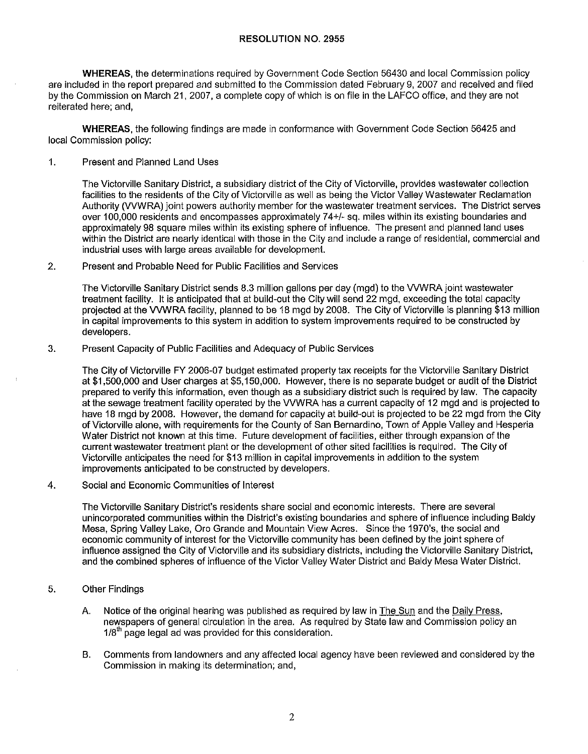### **RESOLUTION NO. 2955**

**WHEREAS,** the determinations required by Government Code Section 56430 and local Commission policy are included in the report prepared and submitted to the Commission dated February 9, 2007 and received and filed by the Commission on March 21, 2007, a complete copy of which is on file in the LAFCO office, and they are not reiterated here; and,

**WHEREAS,** the following findings are made in conformance with Government Code Section 56425 and local Commission policy:

1. Present and Planned Land Uses

The Victorville Sanitary District, a subsidiary district of the City of Victorville, provides wastewater collection facilities to the residents of the City of Victorville as well as being the Victor Valley Wastewater Reclamation Authority (VVWRA) joint powers authority member for the wastewater treatment services. The District serves over 100,000 residents and encompasses approximately 74+/- sq. miles within its existing boundaries and approximately 98 square miles within its existing sphere of influence. The present and planned land uses within the District are nearly identical with those in the City and include a range of residential, commercial and industrial uses with large areas available for development.

## 2. Present and Probable Need for Public Facilities and Services

The Victorville Sanitary District sends 8.3 million gallons per day (mgd) to the VVWRA joint wastewater treatment facility. It is anticipated that at build-out the City will send 22 mgd, exceeding the total capacity projected at the VVWRA facility, planned to be 18 mgd by 2008. The City of Victorville is planning \$13 million in capital improvements to this system in addition to system improvements required to be constructed by developers.

3. Present Capacity of Public Facilities and Adequacy of Public Services

The City of Victorville FY 2006-07 budget estimated property tax receipts for the Victorville Sanitary District at \$1,500,000 and User charges at \$5,150,000. However, there is no separate budget or audit of the District prepared to verify this information, even though as a subsidiary district such is required by law. The capacity at the sewage treatment facility operated by the VVWRA has a current capacity of 12 mgd and is projected to have 18 mgd by 2008. However, the demand for capacity at build-out is projected to be 22 mgd from the City of Victorville alone, with requirements for the County of San Bernardino, Town of Apple Valley and Hesperia Water District not known at this time. Future development of facilities, either through expansion of the current wastewater treatment plant or the development of other sited facilities is required. The City of Victorville anticipates the need for \$13 million in capital improvements in addition to the system improvements anticipated to be constructed by developers.

# 4. Social and Economic Communities of Interest

The Victorville Sanitary District's residents share social and economic interests. There are several unincorporated communities within the District's existing boundaries and sphere of influence including Baldy Mesa, Spring Valley Lake, Oro Grande and Mountain View Acres. Since the 1970's, the social and economic community of interest for the Victorville community has been defined by the joint sphere of influence assigned the City of Victorville and its subsidiary districts, including the Victorville Sanitary District, and the combined spheres of influence of the Victor Valley Water District and Baldy Mesa Water District.

- 5. Other Findings
	- A. Notice of the original hearing was published as required by law in The Sun and the Daily Press, newspapers of general circulation in the area. As required by State law and Commission policy an  $1/8<sup>th</sup>$  page legal ad was provided for this consideration.
	- B. Comments from landowners and any affected local agency have been reviewed and considered by the Commission in making its determination; and,